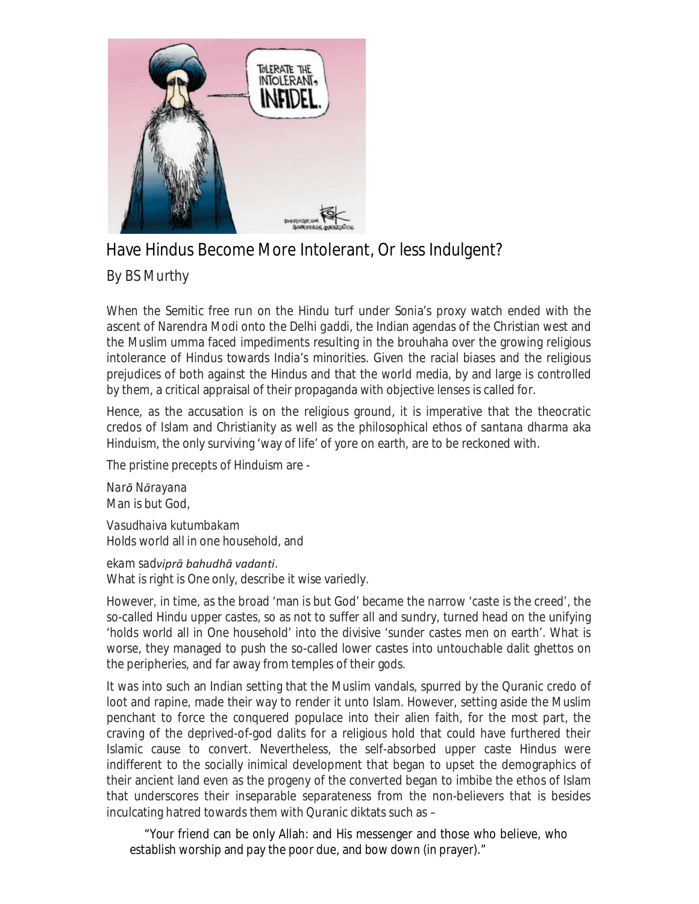

## Have Hindus Become More Intolerant, Or less Indulgent?

## By BS Murthy

When the Semitic free run on the Hindu turf under Sonia's proxy watch ended with the ascent of Narendra Modi onto the Delhi *gaddi,* the Indian agendas of the Christian west and the Muslim umma faced impediments resulting in the brouhaha over the growing religious intolerance of Hindus towards India's minorities. Given the racial biases and the religious prejudices of both against the Hindus and that the world media, by and large is controlled by them, a critical appraisal of their propaganda with objective lenses is called for.

Hence, as the accusation is on the religious ground, it is imperative that the theocratic credos of Islam and Christianity as well as the philosophical ethos of *santana dharma* aka Hinduism, the only surviving 'way of life' of yore on earth, are to be reckoned with.

The pristine precepts of Hinduism are -

*Narō Nārayana* Man is but God, *Vasudhaiva kutumbakam* Holds world all in one household, and

*ekam sadviprā bahudhā vadanti*. What is right is One only, describe it wise variedly.

However, in time, as the broad 'man is but God' became the narrow 'caste is the creed', the so-called Hindu upper castes, so as not to suffer all and sundry, turned head on the unifying 'holds world all in One household' into the divisive 'sunder castes men on earth'. What is worse, they managed to push the so-called lower castes into untouchable dalit ghettos on the peripheries, and far away from temples of their gods.

It was into such an Indian setting that the Muslim vandals, spurred by the Quranic credo of loot and rapine, made their way to render it unto Islam. However, setting aside the Muslim penchant to force the conquered populace into their alien faith, for the most part, the craving of the deprived-of-god dalits for a religious hold that could have furthered their Islamic cause to convert. Nevertheless, the self-absorbed upper caste Hindus were indifferent to the socially inimical development that began to upset the demographics of their ancient land even as the progeny of the converted began to imbibe the ethos of Islam that underscores their inseparable separateness from the non-believers that is besides inculcating hatred towards them with Quranic diktats such as –

 "Your friend can be only Allah: and His messenger and those who believe, who establish worship and pay the poor due, and bow down (in prayer)."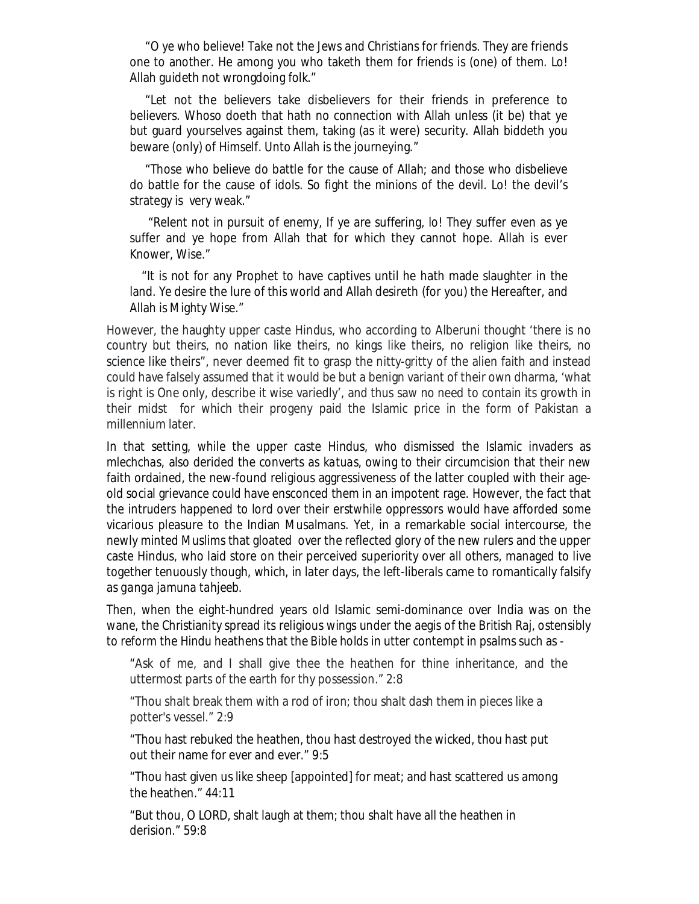"O ye who believe! Take not the Jews and Christians for friends. They are friends one to another. He among you who taketh them for friends is (one) of them. Lo! Allah guideth not wrongdoing folk."

"Let not the believers take disbelievers for their friends in preference to believers. Whoso doeth that hath no connection with Allah unless (it be) that ye but guard yourselves against them, taking (as it were) security. Allah biddeth you beware (only) of Himself. Unto Allah is the journeying."

"Those who believe do battle for the cause of Allah; and those who disbelieve do battle for the cause of idols. So fight the minions of the devil. Lo! the devil's strategy is very weak."

"Relent not in pursuit of enemy, If ye are suffering, lo! They suffer even as ye suffer and ye hope from Allah that for which they cannot hope. Allah is ever Knower, Wise."

 "It is not for any Prophet to have captives until he hath made slaughter in the land. Ye desire the lure of this world and Allah desireth (for you) the Hereafter, and Allah is Mighty Wise."

However, the haughty upper caste Hindus, who according to Alberuni thought 'there is no country but theirs, no nation like theirs, no kings like theirs, no religion like theirs, no science like theirs", never deemed fit to grasp the nitty-gritty of the alien faith and instead could have falsely assumed that it would be but a benign variant of their own dharma, 'what is right is One only, describe it wise variedly', and thus saw no need to contain its growth in their midst for which their progeny paid the Islamic price in the form of Pakistan a millennium later.

In that setting, while the upper caste Hindus, who dismissed the Islamic invaders as *mlechchas,* also derided the converts as *katuas,* owing to their circumcision that their new faith ordained, the new-found religious aggressiveness of the latter coupled with their ageold social grievance could have ensconced them in an impotent rage. However, the fact that the intruders happened to lord over their erstwhile oppressors would have afforded some vicarious pleasure to the Indian Musalmans. Yet, in a remarkable social intercourse, the newly minted Muslims that gloated over the reflected glory of the new rulers and the upper caste Hindus, who laid store on their perceived superiority over all others, managed to live together tenuously though, which, in later days, the left-liberals came to romantically falsify as *ganga jamuna tahjeeb.* 

Then, when the eight-hundred years old Islamic semi-dominance over India was on the wane, the Christianity spread its religious wings under the aegis of the British Raj, ostensibly to reform the Hindu heathens that the Bible holds in utter contempt in psalms such as -

"Ask of me, and I shall give thee the heathen for thine inheritance, and the uttermost parts of the earth for thy possession." 2:8

"Thou shalt break them with a rod of iron; thou shalt dash them in pieces like a potter's vessel." 2:9

"Thou hast rebuked the heathen, thou hast destroyed the wicked, thou hast put out their name for ever and ever." 9:5

"Thou hast given us like sheep [appointed] for meat; and hast scattered us among the heathen." 44:11

"But thou, O LORD, shalt laugh at them; thou shalt have all the heathen in derision." 59:8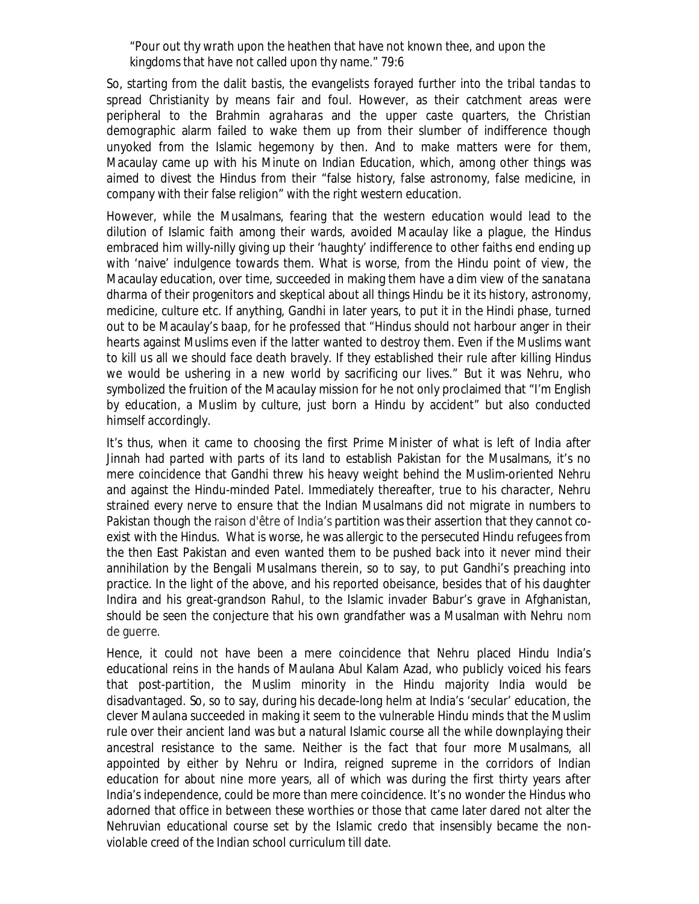"Pour out thy wrath upon the heathen that have not known thee, and upon the kingdoms that have not called upon thy name." 79:6

So, starting from the dalit *bastis*, the evangelists forayed further into the tribal *tandas* to spread Christianity by means fair and foul. However, as their catchment areas were peripheral to the Brahmin *agraharas* and the upper caste quarters, the Christian demographic alarm failed to wake them up from their slumber of indifference though unyoked from the Islamic hegemony by then. And to make matters were for them, Macaulay came up with his *Minute on Indian Education,* which, among other things was aimed to divest the Hindus from their "false history, false astronomy, false medicine, in company with their false religion" with the right western education.

However, while the Musalmans, fearing that the western education would lead to the dilution of Islamic faith among their wards, avoided Macaulay like a plague, the Hindus embraced him willy-nilly giving up their 'haughty' indifference to other faiths end ending up with 'naive' indulgence towards them. What is worse, from the Hindu point of view, the Macaulay education, over time, succeeded in making them have a dim view of the *sanatana dharma* of their progenitors and skeptical about all things Hindu be it its history, astronomy, medicine, culture etc. If anything, Gandhi in later years, to put it in the Hindi phase, turned out to be Macaulay's *baap,* for he professed that "Hindus should not harbour anger in their hearts against Muslims even if the latter wanted to destroy them. Even if the Muslims want to kill us all we should face death bravely. If they established their rule after killing Hindus we would be ushering in a new world by sacrificing our lives." But it was Nehru, who symbolized the fruition of the Macaulay mission for he not only proclaimed that "I'm English by education, a Muslim by culture, just born a Hindu by accident" but also conducted himself accordingly.

It's thus, when it came to choosing the first Prime Minister of what is left of India after Jinnah had parted with parts of its land to establish Pakistan for the Musalmans, it's no mere coincidence that Gandhi threw his heavy weight behind the Muslim-oriented Nehru and against the Hindu-minded Patel. Immediately thereafter, true to his character, Nehru strained every nerve to ensure that the Indian Musalmans did not migrate in numbers to Pakistan though the raison d'être of India's partition was their assertion that they cannot coexist with the Hindus. What is worse, he was allergic to the persecuted Hindu refugees from the then East Pakistan and even wanted them to be pushed back into it never mind their annihilation by the Bengali Musalmans therein, so to say, to put Gandhi's preaching into practice. In the light of the above, and his reported obeisance, besides that of his daughter Indira and his great-grandson Rahul, to the Islamic invader Babur's grave in Afghanistan, should be seen the conjecture that his own grandfather was a Musalman with Nehru nom de guerre.

Hence, it could not have been a mere coincidence that Nehru placed Hindu India's educational reins in the hands of Maulana Abul Kalam Azad, who publicly voiced his fears that post-partition, the Muslim minority in the Hindu majority India would be disadvantaged. So, so to say, during his decade-long helm at India's 'secular' education, the clever Maulana succeeded in making it seem to the vulnerable Hindu minds that the Muslim rule over their ancient land was but a natural Islamic course all the while downplaying their ancestral resistance to the same. Neither is the fact that four more Musalmans, all appointed by either by Nehru or Indira, reigned supreme in the corridors of Indian education for about nine more years, all of which was during the first thirty years after India's independence, could be more than mere coincidence. It's no wonder the Hindus who adorned that office in between these worthies or those that came later dared not alter the Nehruvian educational course set by the Islamic credo that insensibly became the nonviolable creed of the Indian school curriculum till date.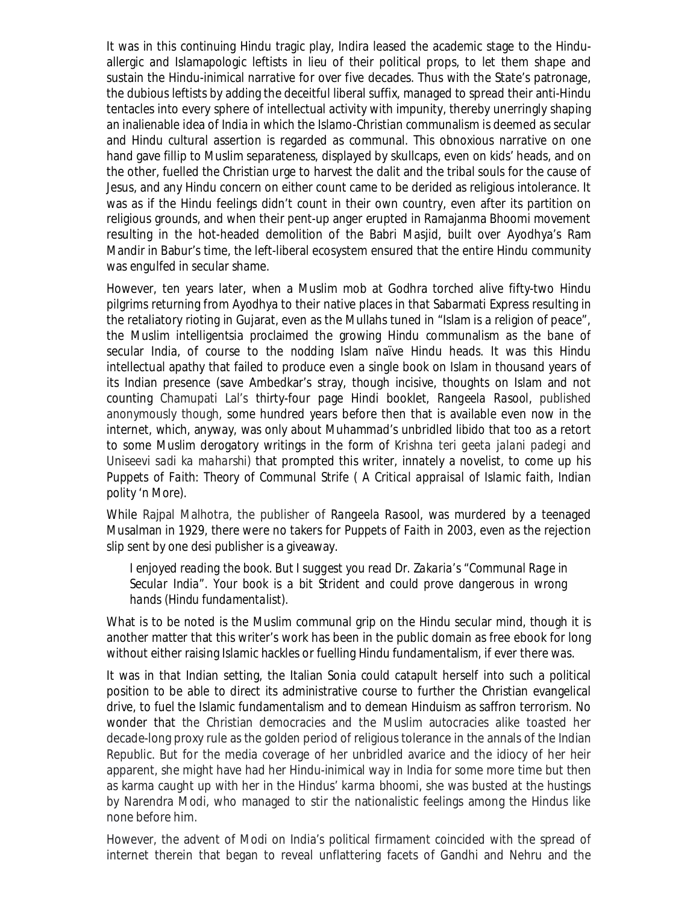It was in this continuing Hindu tragic play, Indira leased the academic stage to the Hinduallergic and Islamapologic leftists in lieu of their political props, to let them shape and sustain the Hindu-inimical narrative for over five decades. Thus with the State's patronage, the dubious leftists by adding the deceitful liberal suffix, managed to spread their anti-Hindu tentacles into every sphere of intellectual activity with impunity, thereby unerringly shaping an inalienable idea of India in which the Islamo-Christian communalism is deemed as secular and Hindu cultural assertion is regarded as communal. This obnoxious narrative on one hand gave fillip to Muslim separateness, displayed by skullcaps, even on kids' heads, and on the other, fuelled the Christian urge to harvest the dalit and the tribal souls for the cause of Jesus, and any Hindu concern on either count came to be derided as religious intolerance. It was as if the Hindu feelings didn't count in their own country, even after its partition on religious grounds, and when their pent-up anger erupted in Ramajanma Bhoomi movement resulting in the hot-headed demolition of the Babri Masjid, built over Ayodhya's Ram Mandir in Babur's time, the left-liberal ecosystem ensured that the entire Hindu community was engulfed in secular shame.

However, ten years later, when a Muslim mob at Godhra torched alive fifty-two Hindu pilgrims returning from Ayodhya to their native places in that Sabarmati Express resulting in the retaliatory rioting in Gujarat, even as the Mullahs tuned in "Islam is a religion of peace", the Muslim intelligentsia proclaimed the growing Hindu communalism as the bane of secular India, of course to the nodding Islam naïve Hindu heads. It was this Hindu intellectual apathy that failed to produce even a single book on Islam in thousand years of its Indian presence (save Ambedkar's stray, though incisive, thoughts on Islam and not counting Chamupati Lal's thirty-four page Hindi booklet, *Rangeela Rasool,* published anonymously though, some hundred years before then that is available even now in the internet, which, anyway, was only about Muhammad's unbridled libido that too as a retort to some Muslim derogatory writings in the form of *Krishna teri geeta jalani padegi* and *Uniseevi sadi ka maharshi)* that prompted this writer, innately a novelist, to come up his *Puppets of Faith: Theory of Communal Strife ( A Critical appraisal of Islamic faith, Indian polity 'n More).*

While Rajpal Malhotra, the publisher of *Rangeela Rasool,* was murdered by a teenaged Musalman in 1929, there were no takers for *Puppets of Faith* in 2003, even as the rejection slip sent by one *desi* publisher is a giveaway.

*I enjoyed reading the book. But I suggest you read Dr. Zakaria's "Communal Rage in Secular India". Your book is a bit Strident and could prove dangerous in wrong hands (Hindu fundamentalist).* 

What is to be noted is the Muslim communal grip on the Hindu secular mind, though it is another matter that this writer's work has been in the public domain as free ebook for long without either raising Islamic hackles or fuelling Hindu fundamentalism, if ever there was.

It was in that Indian setting, the Italian Sonia could catapult herself into such a political position to be able to direct its administrative course to further the Christian evangelical drive, to fuel the Islamic fundamentalism and to demean Hinduism as saffron terrorism. No wonder that the Christian democracies and the Muslim autocracies alike toasted her decade-long proxy rule as the golden period of religious tolerance in the annals of the Indian Republic. But for the media coverage of her unbridled avarice and the idiocy of her heir apparent, she might have had her Hindu-inimical way in India for some more time but then as karma caught up with her in the Hindus' *karma bhoomi*, she was busted at the hustings by Narendra Modi, who managed to stir the nationalistic feelings among the Hindus like none before him.

However, the advent of Modi on India's political firmament coincided with the spread of internet therein that began to reveal unflattering facets of Gandhi and Nehru and the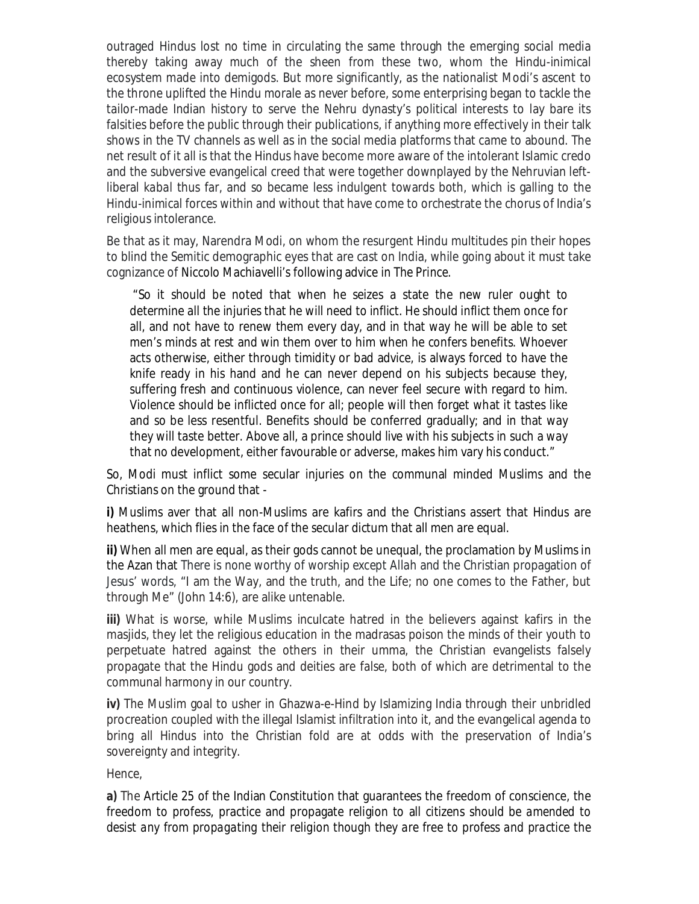outraged Hindus lost no time in circulating the same through the emerging social media thereby taking away much of the sheen from these two, whom the Hindu-inimical ecosystem made into demigods. But more significantly, as the nationalist Modi's ascent to the throne uplifted the Hindu morale as never before, some enterprising began to tackle the tailor-made Indian history to serve the Nehru dynasty's political interests to lay bare its falsities before the public through their publications, if anything more effectively in their talk shows in the TV channels as well as in the social media platforms that came to abound. The net result of it all is that the Hindus have become more aware of the intolerant Islamic credo and the subversive evangelical creed that were together downplayed by the Nehruvian leftliberal *kabal* thus far, and so became less indulgent towards both, which is galling to the Hindu-inimical forces within and without that have come to orchestrate the chorus of India's religious intolerance.

Be that as it may, Narendra Modi, on whom the resurgent Hindu multitudes pin their hopes to blind the Semitic demographic eyes that are cast on India, while going about it must take cognizance of Niccolo Machiavelli's following advice in *The Prince*.

"So it should be noted that when he seizes a state the new ruler ought to determine all the injuries that he will need to inflict. He should inflict them once for all, and not have to renew them every day, and in that way he will be able to set men's minds at rest and win them over to him when he confers benefits. Whoever acts otherwise, either through timidity or bad advice, is always forced to have the knife ready in his hand and he can never depend on his subjects because they, suffering fresh and continuous violence, can never feel secure with regard to him. Violence should be inflicted once for all; people will then forget what it tastes like and so be less resentful. Benefits should be conferred gradually; and in that way they will taste better. Above all, a prince should live with his subjects in such a way that no development, either favourable or adverse, makes him vary his conduct."

So, Modi must inflict some secular injuries on the communal minded Muslims and the Christians on the ground that -

**i)** Muslims aver that all non-Muslims are kafirs and the Christians assert that Hindus are heathens, which flies in the face of the secular dictum that all men are equal.

**ii)** When all men are equal, as their gods cannot be unequal, the proclamation by Muslims in the Azan that *There is none worthy of worship except Allah* and the Christian propagation of Jesus' words, "I am the Way, and the truth, and the Life; no one comes to the Father, but through Me" (John 14:6), are alike untenable.

**iii)** What is worse, while Muslims inculcate hatred in the believers against kafirs in the masjids, they let the religious education in the madrasas poison the minds of their youth to perpetuate hatred against the others in their umma, the Christian evangelists falsely propagate that the Hindu gods and deities are false, both of which are detrimental to the communal harmony in our country.

**iv)** The Muslim goal to usher in Ghazwa-e-Hind by Islamizing India through their unbridled procreation coupled with the illegal Islamist infiltration into it, and the evangelical agenda to bring all Hindus into the Christian fold are at odds with the preservation of India's sovereignty and integrity.

Hence,

**a)** The Article 25 of the Indian Constitution that guarantees the freedom of conscience, the freedom to profess, practice and propagate religion to all citizens *should be amended to desist any from propagating their religion though they are free to profess and practice the*